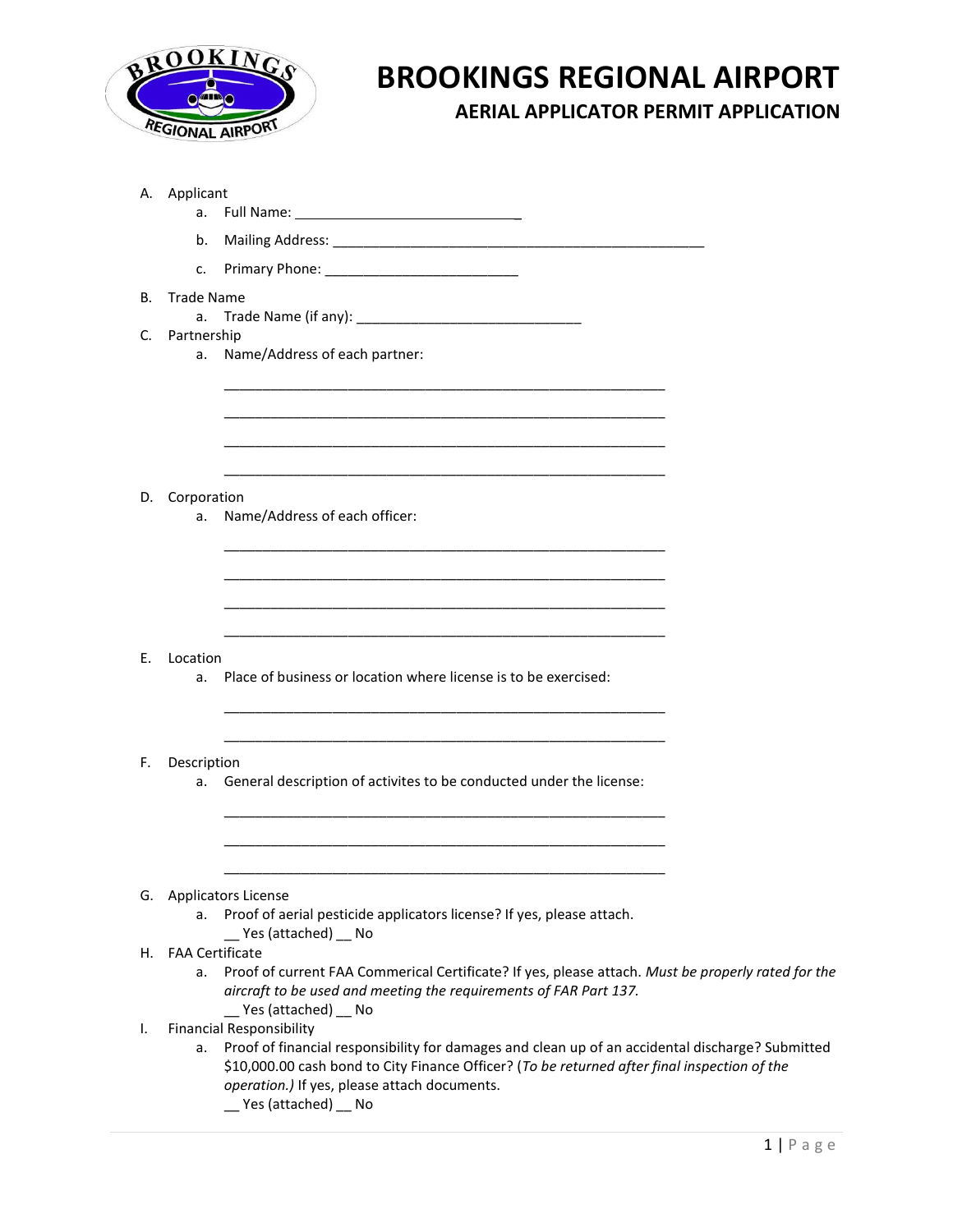

## **BROOKINGS REGIONAL AIRPORT**

**AERIAL APPLICATOR PERMIT APPLICATION**

|    | A. Applicant<br>a.                                                                                                                                                                                                                                                                                                   |  |
|----|----------------------------------------------------------------------------------------------------------------------------------------------------------------------------------------------------------------------------------------------------------------------------------------------------------------------|--|
|    | b.                                                                                                                                                                                                                                                                                                                   |  |
|    | $C_{\bullet}$                                                                                                                                                                                                                                                                                                        |  |
| В. | <b>Trade Name</b>                                                                                                                                                                                                                                                                                                    |  |
|    | a.                                                                                                                                                                                                                                                                                                                   |  |
| C. | Partnership<br>Name/Address of each partner:<br>a.                                                                                                                                                                                                                                                                   |  |
|    |                                                                                                                                                                                                                                                                                                                      |  |
| D. | Corporation<br>Name/Address of each officer:<br>a.                                                                                                                                                                                                                                                                   |  |
|    |                                                                                                                                                                                                                                                                                                                      |  |
| Е. | Location                                                                                                                                                                                                                                                                                                             |  |
|    | Place of business or location where license is to be exercised:<br>a.                                                                                                                                                                                                                                                |  |
| F. | Description<br>a. General description of activites to be conducted under the license:                                                                                                                                                                                                                                |  |
|    |                                                                                                                                                                                                                                                                                                                      |  |
|    | G. Applicators License                                                                                                                                                                                                                                                                                               |  |
|    | Proof of aerial pesticide applicators license? If yes, please attach.<br>а.<br>__ Yes (attached) __ No                                                                                                                                                                                                               |  |
| Н. | <b>FAA Certificate</b><br>Proof of current FAA Commerical Certificate? If yes, please attach. Must be properly rated for the<br>а.<br>aircraft to be used and meeting the requirements of FAR Part 137.<br>__ Yes (attached) __ No                                                                                   |  |
| I. | <b>Financial Responsibility</b><br>Proof of financial responsibility for damages and clean up of an accidental discharge? Submitted<br>а.<br>\$10,000.00 cash bond to City Finance Officer? (To be returned after final inspection of the<br>operation.) If yes, please attach documents.<br>__ Yes (attached) __ No |  |